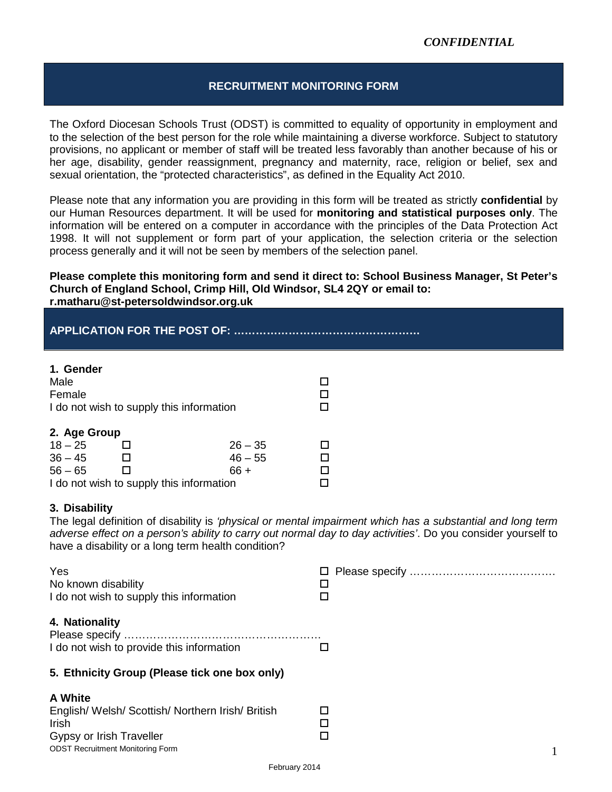### **RECRUITMENT MONITORING FORM**

The Oxford Diocesan Schools Trust (ODST) is committed to equality of opportunity in employment and to the selection of the best person for the role while maintaining a diverse workforce. Subject to statutory provisions, no applicant or member of staff will be treated less favorably than another because of his or her age, disability, gender reassignment, pregnancy and maternity, race, religion or belief, sex and sexual orientation, the "protected characteristics", as defined in the Equality Act 2010.

Please note that any information you are providing in this form will be treated as strictly **confidential** by our Human Resources department. It will be used for **monitoring and statistical purposes only**. The information will be entered on a computer in accordance with the principles of the Data Protection Act 1998. It will not supplement or form part of your application, the selection criteria or the selection process generally and it will not be seen by members of the selection panel.

#### **Please complete this monitoring form and send it direct to: School Business Manager, St Peter's Church of England School, Crimp Hill, Old Windsor, SL4 2QY or email to: r.matharu@st-petersoldwindsor.org.uk**

# **APPLICATION FOR THE POST OF: ……………………………………………**

#### **1. Gender**

| Male                                     |  |           |  |
|------------------------------------------|--|-----------|--|
| Female                                   |  |           |  |
| I do not wish to supply this information |  |           |  |
|                                          |  |           |  |
| 2. Age Group                             |  |           |  |
| $18 - 25$                                |  | $26 - 35$ |  |
| $36 - 45$                                |  | $46 - 55$ |  |
| $56 - 65$                                |  | 66 +      |  |
| I do not wish to supply this information |  |           |  |

#### **3. Disability**

The legal definition of disability is *'physical or mental impairment which has a substantial and long term adverse effect on a person's ability to carry out normal day to day activities'*. Do you consider yourself to have a disability or a long term health condition?

| Yes                                                         |   |
|-------------------------------------------------------------|---|
| No known disability                                         |   |
| I do not wish to supply this information                    | □ |
| 4. Nationality<br>I do not wish to provide this information |   |
| 5. Ethnicity Group (Please tick one box only)               |   |
| A White                                                     |   |
| English/Welsh/Scottish/Northern Irish/British               | □ |
| <b>Irish</b>                                                |   |
| Gypsy or Irish Traveller                                    | □ |
| <b>ODST Recruitment Monitoring Form</b>                     |   |